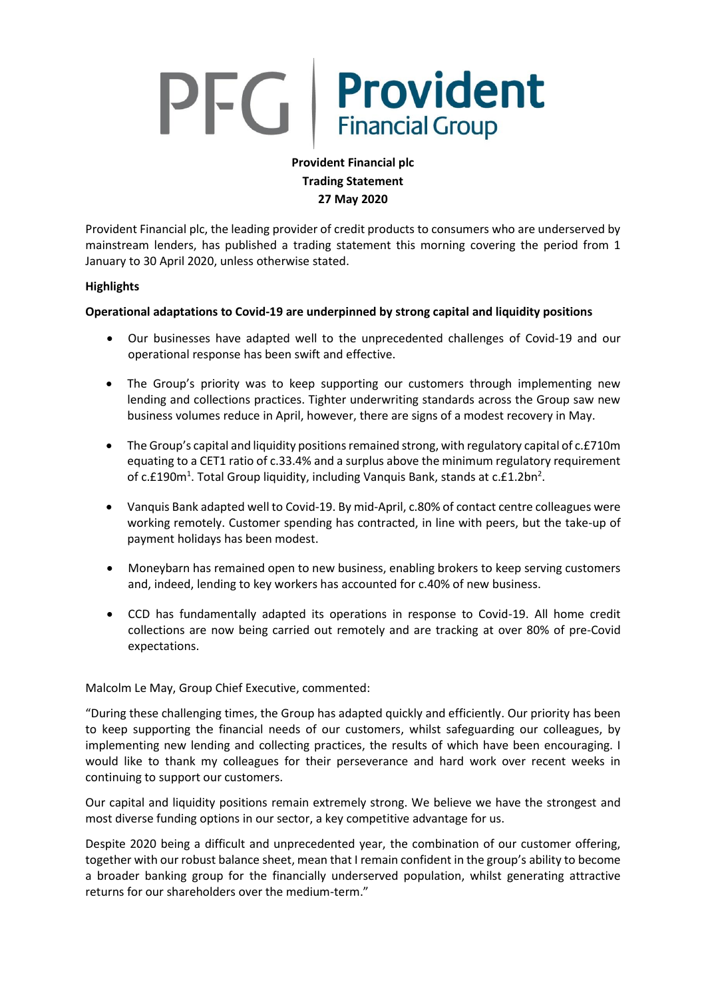# PFG Provident

# **Provident Financial plc Trading Statement 27 May 2020**

Provident Financial plc, the leading provider of credit products to consumers who are underserved by mainstream lenders, has published a trading statement this morning covering the period from 1 January to 30 April 2020, unless otherwise stated.

## **Highlights**

# **Operational adaptations to Covid-19 are underpinned by strong capital and liquidity positions**

- Our businesses have adapted well to the unprecedented challenges of Covid-19 and our operational response has been swift and effective.
- The Group's priority was to keep supporting our customers through implementing new lending and collections practices. Tighter underwriting standards across the Group saw new business volumes reduce in April, however, there are signs of a modest recovery in May.
- The Group's capital and liquidity positions remained strong, with regulatory capital of  $c.E710m$ equating to a CET1 ratio of c.33.4% and a surplus above the minimum regulatory requirement of c.£190m<sup>1</sup>. Total Group liquidity, including Vanquis Bank, stands at c.£1.2bn<sup>2</sup>.
- Vanquis Bank adapted well to Covid-19. By mid-April, c.80% of contact centre colleagues were working remotely. Customer spending has contracted, in line with peers, but the take-up of payment holidays has been modest.
- Moneybarn has remained open to new business, enabling brokers to keep serving customers and, indeed, lending to key workers has accounted for c.40% of new business.
- CCD has fundamentally adapted its operations in response to Covid-19. All home credit collections are now being carried out remotely and are tracking at over 80% of pre-Covid expectations.

Malcolm Le May, Group Chief Executive, commented:

"During these challenging times, the Group has adapted quickly and efficiently. Our priority has been to keep supporting the financial needs of our customers, whilst safeguarding our colleagues, by implementing new lending and collecting practices, the results of which have been encouraging. I would like to thank my colleagues for their perseverance and hard work over recent weeks in continuing to support our customers.

Our capital and liquidity positions remain extremely strong. We believe we have the strongest and most diverse funding options in our sector, a key competitive advantage for us.

Despite 2020 being a difficult and unprecedented year, the combination of our customer offering, together with our robust balance sheet, mean that I remain confident in the group's ability to become a broader banking group for the financially underserved population, whilst generating attractive returns for our shareholders over the medium-term."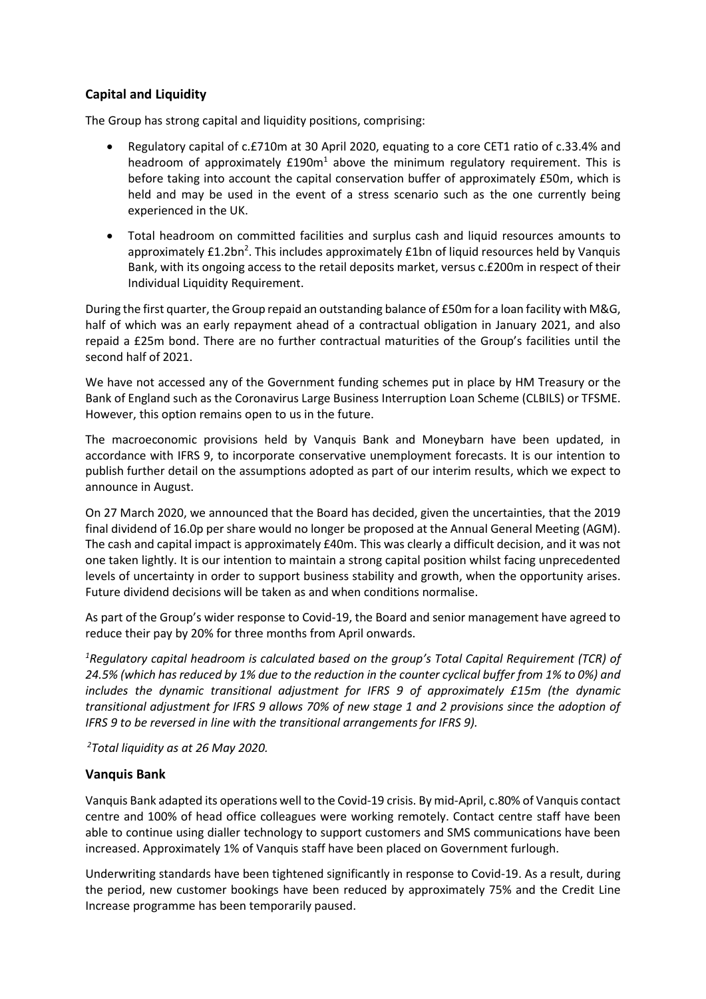# **Capital and Liquidity**

The Group has strong capital and liquidity positions, comprising:

- Regulatory capital of c.£710m at 30 April 2020, equating to a core CET1 ratio of c.33.4% and headroom of approximately  $£190m<sup>1</sup>$  above the minimum regulatory requirement. This is before taking into account the capital conservation buffer of approximately £50m, which is held and may be used in the event of a stress scenario such as the one currently being experienced in the UK.
- Total headroom on committed facilities and surplus cash and liquid resources amounts to approximately £1.2bn<sup>2</sup>. This includes approximately £1bn of liquid resources held by Vanquis Bank, with its ongoing access to the retail deposits market, versus c.£200m in respect of their Individual Liquidity Requirement.

During the first quarter, the Group repaid an outstanding balance of £50m for a loan facility with M&G, half of which was an early repayment ahead of a contractual obligation in January 2021, and also repaid a £25m bond. There are no further contractual maturities of the Group's facilities until the second half of 2021.

We have not accessed any of the Government funding schemes put in place by HM Treasury or the Bank of England such as the Coronavirus Large Business Interruption Loan Scheme (CLBILS) or TFSME. However, this option remains open to us in the future.

The macroeconomic provisions held by Vanquis Bank and Moneybarn have been updated, in accordance with IFRS 9, to incorporate conservative unemployment forecasts. It is our intention to publish further detail on the assumptions adopted as part of our interim results, which we expect to announce in August.

On 27 March 2020, we announced that the Board has decided, given the uncertainties, that the 2019 final dividend of 16.0p per share would no longer be proposed at the Annual General Meeting (AGM). The cash and capital impact is approximately £40m. This was clearly a difficult decision, and it was not one taken lightly. It is our intention to maintain a strong capital position whilst facing unprecedented levels of uncertainty in order to support business stability and growth, when the opportunity arises. Future dividend decisions will be taken as and when conditions normalise.

As part of the Group's wider response to Covid-19, the Board and senior management have agreed to reduce their pay by 20% for three months from April onwards.

*<sup>1</sup>Regulatory capital headroom is calculated based on the group's Total Capital Requirement (TCR) of 24.5% (which has reduced by 1% due to the reduction in the counter cyclical buffer from 1% to 0%) and includes the dynamic transitional adjustment for IFRS 9 of approximately £15m (the dynamic transitional adjustment for IFRS 9 allows 70% of new stage 1 and 2 provisions since the adoption of IFRS 9 to be reversed in line with the transitional arrangements for IFRS 9).*

*<sup>2</sup>Total liquidity as at 26 May 2020.*

#### **Vanquis Bank**

Vanquis Bank adapted its operations well to the Covid-19 crisis. By mid-April, c.80% of Vanquis contact centre and 100% of head office colleagues were working remotely. Contact centre staff have been able to continue using dialler technology to support customers and SMS communications have been increased. Approximately 1% of Vanquis staff have been placed on Government furlough.

Underwriting standards have been tightened significantly in response to Covid-19. As a result, during the period, new customer bookings have been reduced by approximately 75% and the Credit Line Increase programme has been temporarily paused.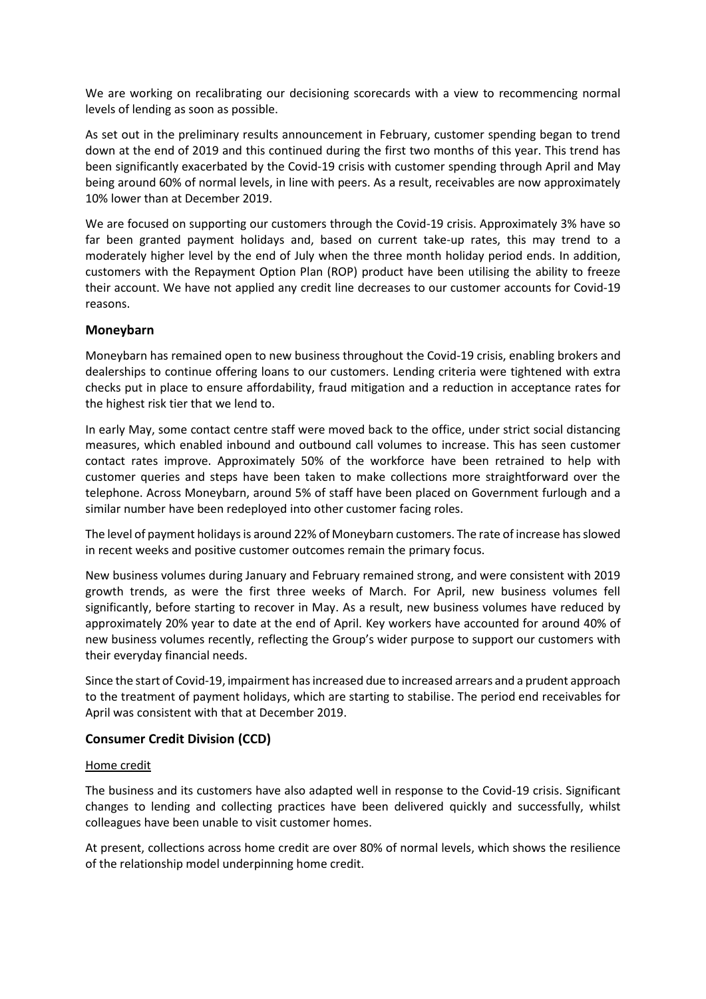We are working on recalibrating our decisioning scorecards with a view to recommencing normal levels of lending as soon as possible.

As set out in the preliminary results announcement in February, customer spending began to trend down at the end of 2019 and this continued during the first two months of this year. This trend has been significantly exacerbated by the Covid-19 crisis with customer spending through April and May being around 60% of normal levels, in line with peers. As a result, receivables are now approximately 10% lower than at December 2019.

We are focused on supporting our customers through the Covid-19 crisis. Approximately 3% have so far been granted payment holidays and, based on current take-up rates, this may trend to a moderately higher level by the end of July when the three month holiday period ends. In addition, customers with the Repayment Option Plan (ROP) product have been utilising the ability to freeze their account. We have not applied any credit line decreases to our customer accounts for Covid-19 reasons.

## **Moneybarn**

Moneybarn has remained open to new business throughout the Covid-19 crisis, enabling brokers and dealerships to continue offering loans to our customers. Lending criteria were tightened with extra checks put in place to ensure affordability, fraud mitigation and a reduction in acceptance rates for the highest risk tier that we lend to.

In early May, some contact centre staff were moved back to the office, under strict social distancing measures, which enabled inbound and outbound call volumes to increase. This has seen customer contact rates improve. Approximately 50% of the workforce have been retrained to help with customer queries and steps have been taken to make collections more straightforward over the telephone. Across Moneybarn, around 5% of staff have been placed on Government furlough and a similar number have been redeployed into other customer facing roles.

The level of payment holidaysis around 22% of Moneybarn customers. The rate of increase has slowed in recent weeks and positive customer outcomes remain the primary focus.

New business volumes during January and February remained strong, and were consistent with 2019 growth trends, as were the first three weeks of March. For April, new business volumes fell significantly, before starting to recover in May. As a result, new business volumes have reduced by approximately 20% year to date at the end of April. Key workers have accounted for around 40% of new business volumes recently, reflecting the Group's wider purpose to support our customers with their everyday financial needs.

Since the start of Covid-19, impairment has increased due to increased arrears and a prudent approach to the treatment of payment holidays, which are starting to stabilise. The period end receivables for April was consistent with that at December 2019.

# **Consumer Credit Division (CCD)**

#### Home credit

The business and its customers have also adapted well in response to the Covid-19 crisis. Significant changes to lending and collecting practices have been delivered quickly and successfully, whilst colleagues have been unable to visit customer homes.

At present, collections across home credit are over 80% of normal levels, which shows the resilience of the relationship model underpinning home credit.